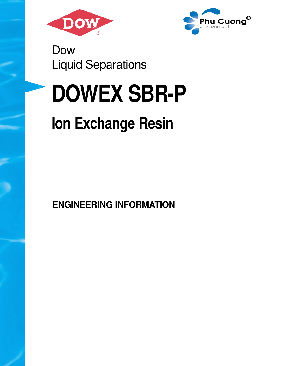



Dow Liquid Separations

# **DOWEX SBR-P**

## **Ion Exchange Resin**

**ENGINEERING INFORMATION**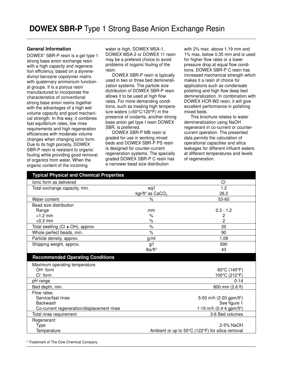#### **General Information**

DOWEX\* SBR-P resin is a gel type 1 strong base anion exchange resin with a high capacity and regeneration efficiency, based on a styrenedivinyl benzene copolymer matrix with quaternary ammonium functional groups. It is a porous resin manufactured to incorporate the characteristics of conventional strong base anion resins together with the advantages of a high wet volume capacity and good mechanical strength. In this way, it combines fast equilibrium rates, low rinse requirements and high regeneration efficiencies with moderate volume changes when changing ionic form. Due to its high porosity, DOWEX SBR-P resin is resistant to organic fouling while providing good removal of organics from water. When the organic content of the incoming

water is high, DOWEX MSA-1, DOWEX MSA-2 or DOWEX 11 resin may be a prefered choice to avoid problems of organic fouling of the resin.

DOWEX SBR-P resin is typically used in two or three bed demineralization systems. The particle size diztribution of DOWEX SBR-P resin allows it to be used at high flow rates. For more demanding conditions, such as treating high temperature waters (>50°C/120°F) in the presence of oxidants, another strong base anion gel type I resin DOWEX SBR, is preferred.

DOWEX SBR-P MB resin is graded for use in working mixed beds and DOWEX SBR-P PS resin is designed for counter-current regeneration systems. The specially graded DOWEX SBR-P C resin has a narrower bead size distribution

with 2% max. above 1.19 mm and 1% max. below 0.35 mm and is used for higher flow rates or a lower pressure drop at equal flow conditions. DOWEX SBR-P C resin has increased mechanical strength which makes it a resin of choice for applications such as condensate polishing and high flow deep bed demineralization. In combination with DOWEX HCR-W2 resin, it will give excellent performance in polishing mixed beds.

This brochure relates to water demineralization using NaOH regenerant in co-current or countercurrent operation. The presented data permits the calculation of operational capacities and silica leakages for different influent waters at different temperatures and levels of regeneration.

| Typical Physical and Chemical Properties   |                                |                                                               |
|--------------------------------------------|--------------------------------|---------------------------------------------------------------|
| lonic form as delivered                    |                                | $Cl^-$                                                        |
| Total exchange capacity, min.              | eq/                            | 1.2                                                           |
|                                            | kgr/ft <sup>3</sup> as $CaCO3$ | 26.2                                                          |
| Water content                              | $\%$                           | 53-60                                                         |
| Bead size distribution                     |                                |                                                               |
| Range                                      | mm                             | $0.3 - 1.2$                                                   |
| $>1.2$ mm                                  | $\%$                           | 2                                                             |
| $< 0.3$ mm                                 | $\%$                           | 2                                                             |
| Total swelling (CI + OH), approx.          | $\%$                           | 20                                                            |
| Whole perfect beads, min.                  | $\%$                           | 90                                                            |
| Particle density, approx.                  | g/ml                           | 1.08                                                          |
| Shipping weight, approx.                   | g/                             | 690                                                           |
|                                            | Ibs/ft <sup>3</sup>            | 43                                                            |
| <b>Recommended Operating Conditions</b>    |                                |                                                               |
| Maximum operating temperature:             |                                |                                                               |
| $OH^-$ form                                |                                | 60°C (140°F)                                                  |
|                                            |                                |                                                               |
| $Cl^-$ form                                |                                | 100°C (212°F)                                                 |
| pH range                                   |                                | $0 - 14$                                                      |
| Bed depth, min.                            |                                | 800 mm (2.6 ft)                                               |
| Flow rates:                                |                                |                                                               |
| Service/fast rinse                         |                                | 5-50 m/h (2-20 gpm/ft <sup>2</sup> )                          |
| <b>Backwash</b>                            |                                | See figure 1                                                  |
| Co-current regeneration/displacement rinse |                                | 1-10 m/h (0.4-4 gpm/ft <sup>2</sup> )                         |
| Total rinse requirement                    |                                | 3-6 Bed volumes                                               |
| Regenerant:                                |                                |                                                               |
| <b>Type</b><br>Temperature                 |                                | 2-5% NaOH<br>Ambient or up to 50°C (122°F) for silica removal |

\* Trademark of The Dow Chemical Company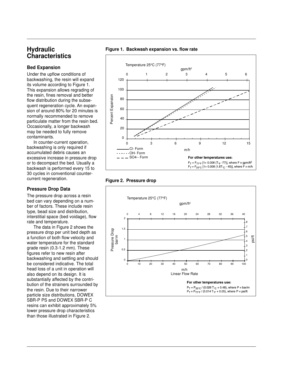### **Hydraulic Characteristics**

#### **Bed Expansion**

Under the upflow conditions of backwashing, the resin will expand its volume according to Figure 1. This expansion allows regrading of the resin, fines removal and better flow distribution during the subsequent regeneration cycle. An expansion of around 80% for 20 minutes is normally recommended to remove particulate matter from the resin bed. Occasionally, a longer backwash may be needed to fully remove contaminants.

In counter-current operation, backwashing is only required if accumulated debris causes an excessive increase in pressure drop or to decompact the bed. Usually a backwash is performed every 15 to 30 cycles in conventional countercurrent regeneration.

#### **Pressure Drop Data**

The pressure drop across a resin bed can vary depending on a number of factors. These include resin type, bead size and distribution, interstitial space (bed voidage), flow rate and temperature.

The data in Figure 2 shows the pressure drop per unit bed depth as a function of both flow velocity and water temperature for the standard grade resin (0.3-1.2 mm). These figures refer to new resin after backwashing and settling and should be considered indicative. The total head loss of a unit in operation will also depend on its design. It is substantially affected by the contribution of the strainers surrounded by the resin. Due to their narrower particle size distributions, DOWEX SBR-P PS and DOWEX SBR-P C resins can exhibit approximately 5% lower pressure drop characteristics than those illustrated in Figure 2.







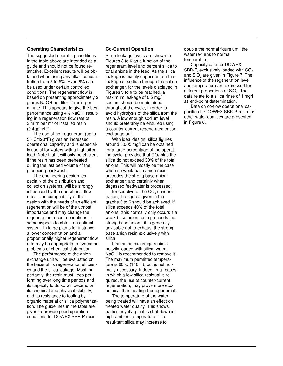#### **Operating Characteristics**

The suggested operating conditions in the table above are intended as a guide and should not be found restrictive. Excellent results will be obtained when using any alkali concentration from 2 to 5%. Even 8% can be used under certain controlled conditions. The regenerant flow is based on presenting approximately 2 grams NaOH per liter of resin per minute. This appears to give the best performance using 4% NaOH, resulting in a regeneration flow rate of 3 m $^{3}/$ h per m $^{3}$  of installed resin (0.4gpm/ft<sup>3</sup> ).

The use of hot regenerant (up to 50°C/120°F) gives an increased operational capacity and is especially useful for waters with a high silica load. Note that it will only be efficient if the resin has been preheated during the last bed volume of the preceding backwash.

The engineering design, especially of the distribution and collection systems, will be strongly influenced by the operational flow rates. The compatibility of this design with the needs of an efficient regeneration will be of the utmost importance and may change the regeneration recommendations in some aspects to obtain an optimal system. In large plants for instance, a lower concentration and a proportionally higher regenerant flow rate may be appropriate to overcome problems of chemical distribution.

The performance of the anion exchange unit will be evaluated on the basis of its regeneration efficiency and the silica leakage. Most importantly, the resin must keep performing over long time periods and its capacity to do so will depend on its chemical and physical stability, and its resistance to fouling by organic material or silica polymerization. The guidelines in the table are given to provide good operation conditions for DOWEX SBR-P resin.

#### **Co-Current Operation**

Silica leakage levels are shown in Figures 3 to 6 as a function of the regenerant level and percent silica to total anions in the feed. As the silica leakage is mainly dependent on the leakage of sodium through the cation exchanger, for the levels displayed in Figures 3 to 6 to be reached, a maximum leakage of 0.5 mg/l sodium should be maintained throughout the cycle, in order to avoid hydrolysis of the silica from the resin. A low enough sodium level should preferably be ensured using a counter-current regenerated cation exchange unit.

With ideal design, silica figures around 0.005 mg/l can be obtained for a large percentage of the operating cycle, provided that CO $_{\rm 2}$  plus the silica do not exceed 30% of the total anions. This will mostly be the case when no weak base anion resin precedes the strong base anion exchanger, and certainly when degassed feedwater is processed.

Irrespective of the  $CO<sub>2</sub>$  concentration, the figures given in the graphs 3 to 6 should be achieved. If silica exceeds 40% of the total anions, (this normally only occurs if a weak base anion resin preceeds the strong base anion), it is generally advisable not to exhaust the strong base anion resin exclusively with silica.

If an anion exchange resin is heavily loaded with silica, warm NaOH is recommended to remove it. The maximum permitted temperature is 60°C (140°F), but is not normally necessary. Indeed, in all cases in which a low silica residual is required, the use of counter-current regeneration, may prove more economical than heating the regenerant.

The temperature of the water being treated will have an effect on treated water quality. This shows particularly if a plant is shut down in high ambient temperature. The resul-tant silica may increase to

double the normal figure until the water re-turns to normal temperature.

Capacity data for DOWEX SBR-P, exclusively loaded with  $CO<sub>2</sub>$ and SiO $_{\rm 2}$  are given in Figure 7. The influence of the regeneration level and temperature are expressed for different proportions of SiO $_2$ . The data relate to a silica rinse of 1 mg/l as end-point determination.

Data on co-flow operational capacities for DOWEX SBR-P resin for other water qualities are presented in Figure 8.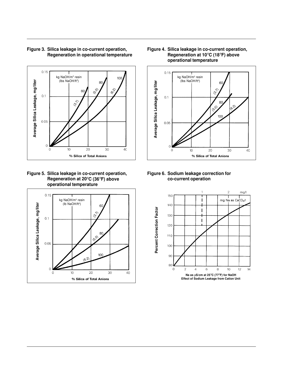

#### **Figure 3. Silica leakage in co-current operation, Regeneration in operational temperature**





#### **Figure 4. Silica leakage in co-current operation, Regeneration at 10**°**C (18**°**F) above operational temperature**



#### **Figure 6. Sodium leakage correction for co-current operation**

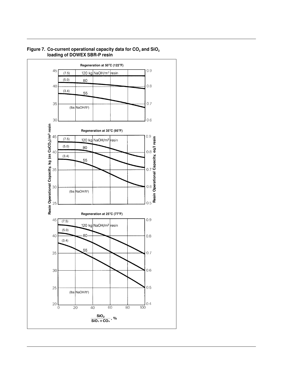

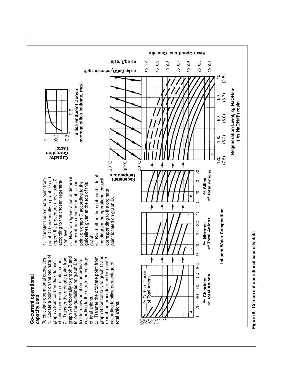

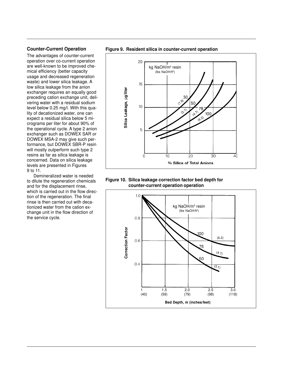#### **Counter-Current Operation**

The advantages of counter-current operation over co-current operation are well-known to be improved chemical efficiency (better capacity usage and decreased regeneration waste) and lower silica leakage. A low silica leakage from the anion exchanger requires an equally good preceding cation exchange unit, delivering water with a residual sodium level below 0.25 mg/l. With this quality of decationized water, one can expect a residual silica below 5 micrograms per liter for about 90% of the operational cycle. A type 2 anion exchanger such as DOWEX SAR or DOWEX MSA-2 may give such performance, but DOWEX SBR-P resin will mostly outperform such type 2 resins as far as silica leakage is concerned. Data on silica leakage levels are presented in Figures 9 to 11.

Demineralized water is needed to dilute the regeneration chemicals and for the displacement rinse, which is carried out in the flow direction of the regeneration. The final rinse is then carried out with decationized water from the cation exchange unit in the flow direction of the service cycle.







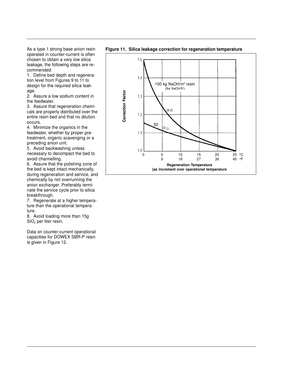As a type 1 strong base anion resin operated in counter-current is often chosen to obtain a very low silica leakage, the following steps are recommended:

1. Define bed depth and regeneration level from Figures 9 to 11 to design for the required silica leakage.

2. Assure a low sodium content in the feedwater.

3. Assure that regeneration chemicals are properly distributed over the entire resin bed and that no dilution occurs.

4. Minimize the organics in the feedwater, whether by proper pretreatment, organic scavenging or a preceding anion unit.

5. Avoid backwashing unless necessary to decompact the bed to avoid channelling.

6. Assure that the polishing zone of the bed is kept intact mechanically, during regeneration and service, and chemically by not overrunning the anion exchanger. Preferably terminate the service cycle prior to silica breakthrough.

7. Regenerate at a higher temperature than the operational temperature.

8. Avoid loading more than 15g  $\mathrm{SiO}_2$  per liter resin.

Data on counter-current operational capacities for DOWEX SBR-P resin is given in Figure 12.



**Figure 11. Silica leakage correction for regeneration temperature**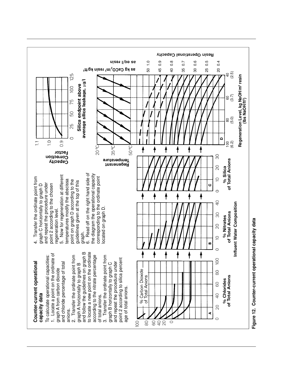